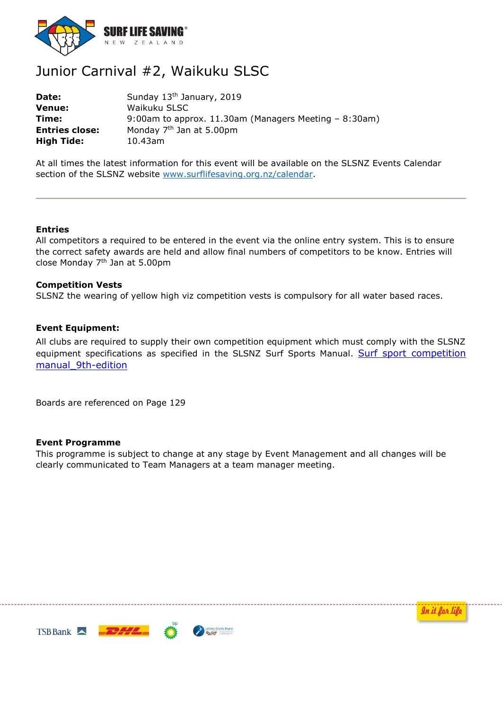

# Junior Carnival #2, Waikuku SLSC

**Date:** Sunday 13<sup>th</sup> January, 2019 **Venue:** Waikuku SLSC **Time:** 9:00am to approx. 11.30am (Managers Meeting – 8:30am) **Entries close:** Monday 7<sup>th</sup> Jan at 5.00pm **High Tide:** 10.43am

At all times the latest information for this event will be available on the SLSNZ Events Calendar section of the SLSNZ website [www.surflifesaving.org.nz/calendar.](http://www.surflifesaving.org.nz/calendar)

## **Entries**

All competitors a required to be entered in the event via the online entry system. This is to ensure the correct safety awards are held and allow final numbers of competitors to be know. Entries will close Monday  $7<sup>th</sup>$  Jan at 5.00pm

### **Competition Vests**

SLSNZ the wearing of yellow high viz competition vests is compulsory for all water based races.

## **Event Equipment:**

All clubs are required to supply their own competition equipment which must comply with the SLSNZ equipment specifications as specified in the SLSNZ Surf Sports Manual. Surf sport competition [manual\\_9th-edition](https://www.surflifesaving.org.nz/media/988506/slsnzsurfsportcompetitionmanual_9th-edition-v3_final.pdf)

Boards are referenced on Page 129

#### **Event Programme**

This programme is subject to change at any stage by Event Management and all changes will be clearly communicated to Team Managers at a team manager meeting.



In it for life